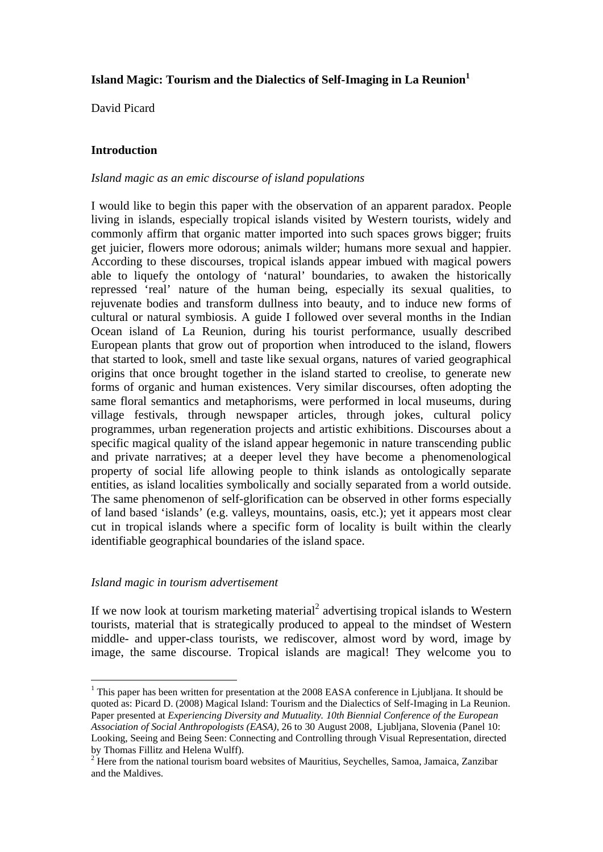# **Island Magic: Tourism and the Dialectics of Self-Imaging in La Reunion<sup>1</sup>**

David Picard

# **Introduction**

## *Island magic as an emic discourse of island populations*

I would like to begin this paper with the observation of an apparent paradox. People living in islands, especially tropical islands visited by Western tourists, widely and commonly affirm that organic matter imported into such spaces grows bigger; fruits get juicier, flowers more odorous; animals wilder; humans more sexual and happier. According to these discourses, tropical islands appear imbued with magical powers able to liquefy the ontology of 'natural' boundaries, to awaken the historically repressed 'real' nature of the human being, especially its sexual qualities, to rejuvenate bodies and transform dullness into beauty, and to induce new forms of cultural or natural symbiosis. A guide I followed over several months in the Indian Ocean island of La Reunion, during his tourist performance, usually described European plants that grow out of proportion when introduced to the island, flowers that started to look, smell and taste like sexual organs, natures of varied geographical origins that once brought together in the island started to creolise, to generate new forms of organic and human existences. Very similar discourses, often adopting the same floral semantics and metaphorisms, were performed in local museums, during village festivals, through newspaper articles, through jokes, cultural policy programmes, urban regeneration projects and artistic exhibitions. Discourses about a specific magical quality of the island appear hegemonic in nature transcending public and private narratives; at a deeper level they have become a phenomenological property of social life allowing people to think islands as ontologically separate entities, as island localities symbolically and socially separated from a world outside. The same phenomenon of self-glorification can be observed in other forms especially of land based 'islands' (e.g. valleys, mountains, oasis, etc.); yet it appears most clear cut in tropical islands where a specific form of locality is built within the clearly identifiable geographical boundaries of the island space.

# *Island magic in tourism advertisement*

<u>.</u>

If we now look at tourism marketing material<sup>2</sup> advertising tropical islands to Western tourists, material that is strategically produced to appeal to the mindset of Western middle- and upper-class tourists, we rediscover, almost word by word, image by image, the same discourse. Tropical islands are magical! They welcome you to

<sup>&</sup>lt;sup>1</sup> This paper has been written for presentation at the 2008 EASA conference in Ljubljana. It should be quoted as: Picard D. (2008) Magical Island: Tourism and the Dialectics of Self-Imaging in La Reunion. Paper presented at *Experiencing Diversity and Mutuality. 10th Biennial Conference of the European Association of Social Anthropologists (EASA)*, 26 to 30 August 2008, Ljubljana, Slovenia (Panel 10: Looking, Seeing and Being Seen: Connecting and Controlling through Visual Representation, directed by Thomas Fillitz and Helena Wulff).

<sup>&</sup>lt;sup>2</sup> Here from the national tourism board websites of Mauritius, Seychelles, Samoa, Jamaica, Zanzibar and the Maldives.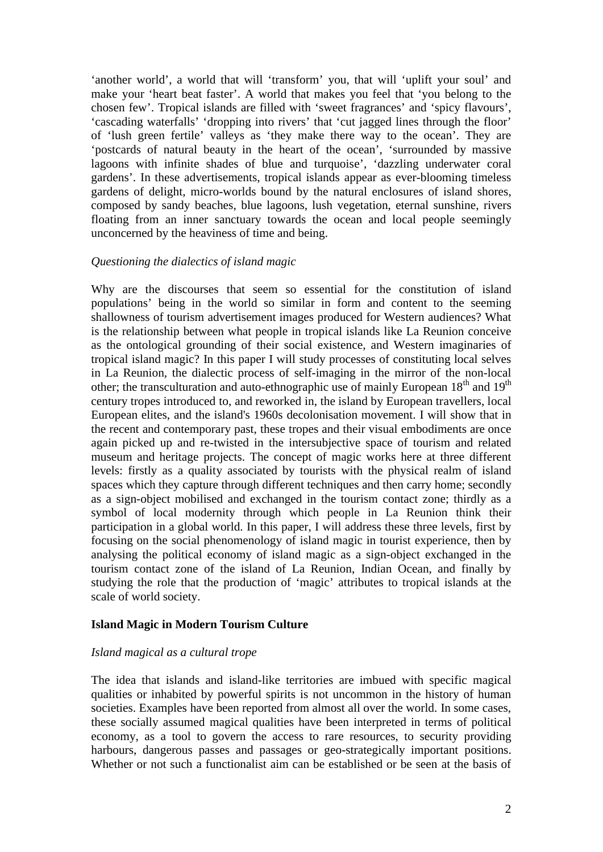'another world', a world that will 'transform' you, that will 'uplift your soul' and make your 'heart beat faster'. A world that makes you feel that 'you belong to the chosen few'. Tropical islands are filled with 'sweet fragrances' and 'spicy flavours', 'cascading waterfalls' 'dropping into rivers' that 'cut jagged lines through the floor' of 'lush green fertile' valleys as 'they make there way to the ocean'. They are 'postcards of natural beauty in the heart of the ocean', 'surrounded by massive lagoons with infinite shades of blue and turquoise', 'dazzling underwater coral gardens'. In these advertisements, tropical islands appear as ever-blooming timeless gardens of delight, micro-worlds bound by the natural enclosures of island shores, composed by sandy beaches, blue lagoons, lush vegetation, eternal sunshine, rivers floating from an inner sanctuary towards the ocean and local people seemingly unconcerned by the heaviness of time and being.

#### *Questioning the dialectics of island magic*

Why are the discourses that seem so essential for the constitution of island populations' being in the world so similar in form and content to the seeming shallowness of tourism advertisement images produced for Western audiences? What is the relationship between what people in tropical islands like La Reunion conceive as the ontological grounding of their social existence, and Western imaginaries of tropical island magic? In this paper I will study processes of constituting local selves in La Reunion, the dialectic process of self-imaging in the mirror of the non-local other; the transculturation and auto-ethnographic use of mainly European  $18<sup>th</sup>$  and  $19<sup>th</sup>$ century tropes introduced to, and reworked in, the island by European travellers, local European elites, and the island's 1960s decolonisation movement. I will show that in the recent and contemporary past, these tropes and their visual embodiments are once again picked up and re-twisted in the intersubjective space of tourism and related museum and heritage projects. The concept of magic works here at three different levels: firstly as a quality associated by tourists with the physical realm of island spaces which they capture through different techniques and then carry home; secondly as a sign-object mobilised and exchanged in the tourism contact zone; thirdly as a symbol of local modernity through which people in La Reunion think their participation in a global world. In this paper, I will address these three levels, first by focusing on the social phenomenology of island magic in tourist experience, then by analysing the political economy of island magic as a sign-object exchanged in the tourism contact zone of the island of La Reunion, Indian Ocean, and finally by studying the role that the production of 'magic' attributes to tropical islands at the scale of world society.

# **Island Magic in Modern Tourism Culture**

# *Island magical as a cultural trope*

The idea that islands and island-like territories are imbued with specific magical qualities or inhabited by powerful spirits is not uncommon in the history of human societies. Examples have been reported from almost all over the world. In some cases, these socially assumed magical qualities have been interpreted in terms of political economy, as a tool to govern the access to rare resources, to security providing harbours, dangerous passes and passages or geo-strategically important positions. Whether or not such a functionalist aim can be established or be seen at the basis of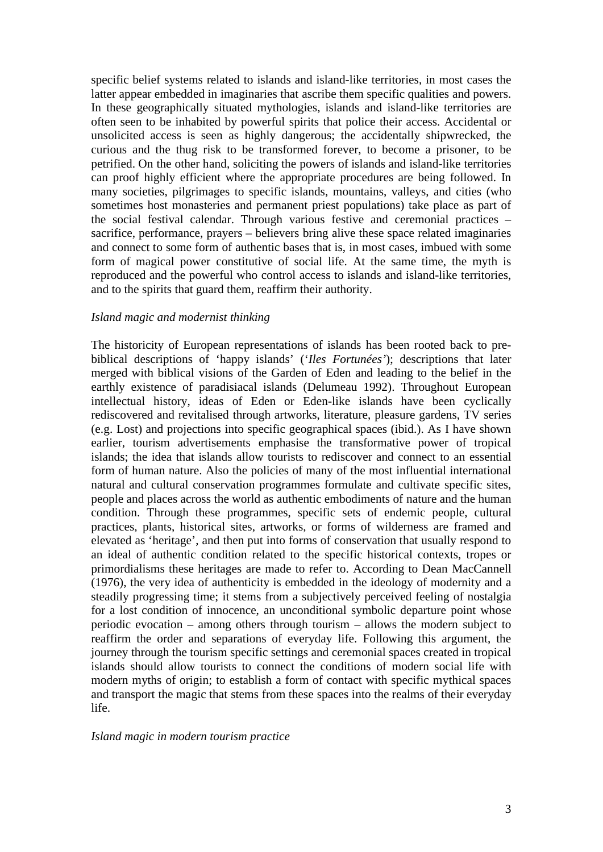specific belief systems related to islands and island-like territories, in most cases the latter appear embedded in imaginaries that ascribe them specific qualities and powers. In these geographically situated mythologies, islands and island-like territories are often seen to be inhabited by powerful spirits that police their access. Accidental or unsolicited access is seen as highly dangerous; the accidentally shipwrecked, the curious and the thug risk to be transformed forever, to become a prisoner, to be petrified. On the other hand, soliciting the powers of islands and island-like territories can proof highly efficient where the appropriate procedures are being followed. In many societies, pilgrimages to specific islands, mountains, valleys, and cities (who sometimes host monasteries and permanent priest populations) take place as part of the social festival calendar. Through various festive and ceremonial practices – sacrifice, performance, prayers – believers bring alive these space related imaginaries and connect to some form of authentic bases that is, in most cases, imbued with some form of magical power constitutive of social life. At the same time, the myth is reproduced and the powerful who control access to islands and island-like territories, and to the spirits that guard them, reaffirm their authority.

#### *Island magic and modernist thinking*

The historicity of European representations of islands has been rooted back to prebiblical descriptions of 'happy islands' ('*Iles Fortunées'*); descriptions that later merged with biblical visions of the Garden of Eden and leading to the belief in the earthly existence of paradisiacal islands (Delumeau 1992). Throughout European intellectual history, ideas of Eden or Eden-like islands have been cyclically rediscovered and revitalised through artworks, literature, pleasure gardens, TV series (e.g. Lost) and projections into specific geographical spaces (ibid.). As I have shown earlier, tourism advertisements emphasise the transformative power of tropical islands; the idea that islands allow tourists to rediscover and connect to an essential form of human nature. Also the policies of many of the most influential international natural and cultural conservation programmes formulate and cultivate specific sites, people and places across the world as authentic embodiments of nature and the human condition. Through these programmes, specific sets of endemic people, cultural practices, plants, historical sites, artworks, or forms of wilderness are framed and elevated as 'heritage', and then put into forms of conservation that usually respond to an ideal of authentic condition related to the specific historical contexts, tropes or primordialisms these heritages are made to refer to. According to Dean MacCannell (1976), the very idea of authenticity is embedded in the ideology of modernity and a steadily progressing time; it stems from a subjectively perceived feeling of nostalgia for a lost condition of innocence, an unconditional symbolic departure point whose periodic evocation – among others through tourism – allows the modern subject to reaffirm the order and separations of everyday life. Following this argument, the journey through the tourism specific settings and ceremonial spaces created in tropical islands should allow tourists to connect the conditions of modern social life with modern myths of origin; to establish a form of contact with specific mythical spaces and transport the magic that stems from these spaces into the realms of their everyday life.

#### *Island magic in modern tourism practice*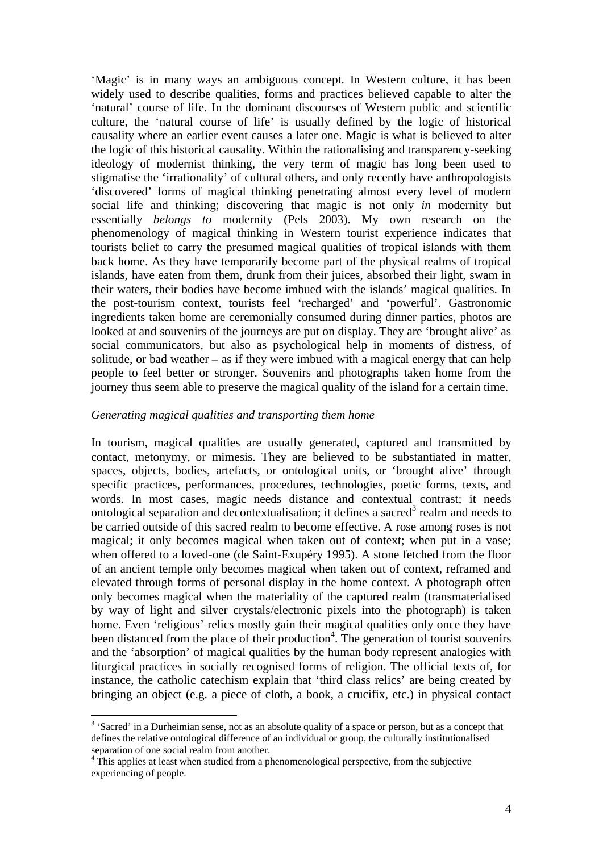'Magic' is in many ways an ambiguous concept. In Western culture, it has been widely used to describe qualities, forms and practices believed capable to alter the 'natural' course of life. In the dominant discourses of Western public and scientific culture, the 'natural course of life' is usually defined by the logic of historical causality where an earlier event causes a later one. Magic is what is believed to alter the logic of this historical causality. Within the rationalising and transparency-seeking ideology of modernist thinking, the very term of magic has long been used to stigmatise the 'irrationality' of cultural others, and only recently have anthropologists 'discovered' forms of magical thinking penetrating almost every level of modern social life and thinking; discovering that magic is not only *in* modernity but essentially *belongs to* modernity (Pels 2003). My own research on the phenomenology of magical thinking in Western tourist experience indicates that tourists belief to carry the presumed magical qualities of tropical islands with them back home. As they have temporarily become part of the physical realms of tropical islands, have eaten from them, drunk from their juices, absorbed their light, swam in their waters, their bodies have become imbued with the islands' magical qualities. In the post-tourism context, tourists feel 'recharged' and 'powerful'. Gastronomic ingredients taken home are ceremonially consumed during dinner parties, photos are looked at and souvenirs of the journeys are put on display. They are 'brought alive' as social communicators, but also as psychological help in moments of distress, of solitude, or bad weather – as if they were imbued with a magical energy that can help people to feel better or stronger. Souvenirs and photographs taken home from the journey thus seem able to preserve the magical quality of the island for a certain time.

#### *Generating magical qualities and transporting them home*

In tourism, magical qualities are usually generated, captured and transmitted by contact, metonymy, or mimesis. They are believed to be substantiated in matter, spaces, objects, bodies, artefacts, or ontological units, or 'brought alive' through specific practices, performances, procedures, technologies, poetic forms, texts, and words. In most cases, magic needs distance and contextual contrast; it needs ontological separation and decontextualisation; it defines a sacred<sup>3</sup> realm and needs to be carried outside of this sacred realm to become effective. A rose among roses is not magical; it only becomes magical when taken out of context; when put in a vase; when offered to a loved-one (de Saint-Exupéry 1995). A stone fetched from the floor of an ancient temple only becomes magical when taken out of context, reframed and elevated through forms of personal display in the home context. A photograph often only becomes magical when the materiality of the captured realm (transmaterialised by way of light and silver crystals/electronic pixels into the photograph) is taken home. Even 'religious' relics mostly gain their magical qualities only once they have been distanced from the place of their production<sup>4</sup>. The generation of tourist souvenirs and the 'absorption' of magical qualities by the human body represent analogies with liturgical practices in socially recognised forms of religion. The official texts of, for instance, the catholic catechism explain that 'third class relics' are being created by bringing an object (e.g. a piece of cloth, a book, a crucifix, etc.) in physical contact

<u>.</u>

<sup>&</sup>lt;sup>3</sup> 'Sacred' in a Durheimian sense, not as an absolute quality of a space or person, but as a concept that defines the relative ontological difference of an individual or group, the culturally institutionalised separation of one social realm from another.

<sup>&</sup>lt;sup>4</sup> This applies at least when studied from a phenomenological perspective, from the subjective experiencing of people.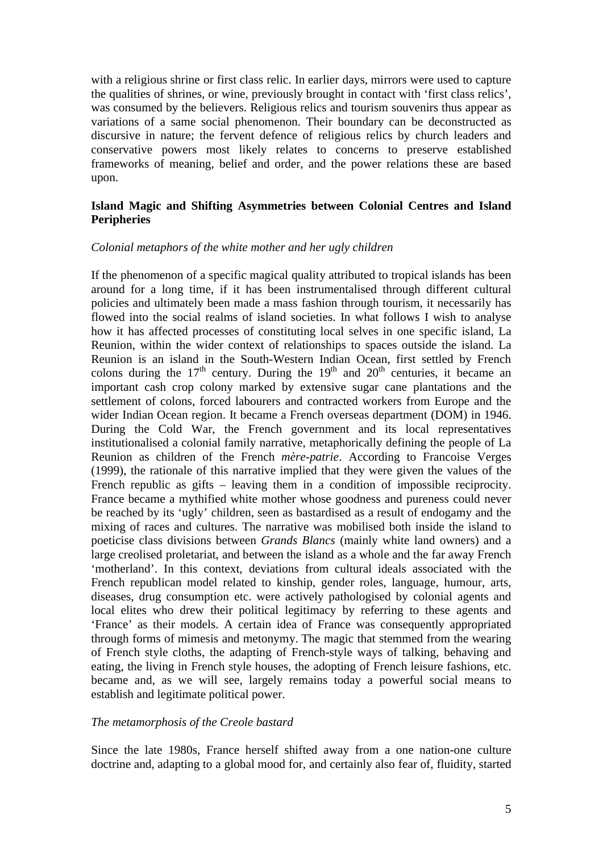with a religious shrine or first class relic. In earlier days, mirrors were used to capture the qualities of shrines, or wine, previously brought in contact with 'first class relics', was consumed by the believers. Religious relics and tourism souvenirs thus appear as variations of a same social phenomenon. Their boundary can be deconstructed as discursive in nature; the fervent defence of religious relics by church leaders and conservative powers most likely relates to concerns to preserve established frameworks of meaning, belief and order, and the power relations these are based upon.

# **Island Magic and Shifting Asymmetries between Colonial Centres and Island Peripheries**

#### *Colonial metaphors of the white mother and her ugly children*

If the phenomenon of a specific magical quality attributed to tropical islands has been around for a long time, if it has been instrumentalised through different cultural policies and ultimately been made a mass fashion through tourism, it necessarily has flowed into the social realms of island societies. In what follows I wish to analyse how it has affected processes of constituting local selves in one specific island, La Reunion, within the wider context of relationships to spaces outside the island. La Reunion is an island in the South-Western Indian Ocean, first settled by French colons during the  $17<sup>th</sup>$  century. During the  $19<sup>th</sup>$  and  $20<sup>th</sup>$  centuries, it became an important cash crop colony marked by extensive sugar cane plantations and the settlement of colons, forced labourers and contracted workers from Europe and the wider Indian Ocean region. It became a French overseas department (DOM) in 1946. During the Cold War, the French government and its local representatives institutionalised a colonial family narrative, metaphorically defining the people of La Reunion as children of the French *mère-patrie*. According to Francoise Verges (1999), the rationale of this narrative implied that they were given the values of the French republic as gifts – leaving them in a condition of impossible reciprocity. France became a mythified white mother whose goodness and pureness could never be reached by its 'ugly' children, seen as bastardised as a result of endogamy and the mixing of races and cultures. The narrative was mobilised both inside the island to poeticise class divisions between *Grands Blancs* (mainly white land owners) and a large creolised proletariat, and between the island as a whole and the far away French 'motherland'. In this context, deviations from cultural ideals associated with the French republican model related to kinship, gender roles, language, humour, arts, diseases, drug consumption etc. were actively pathologised by colonial agents and local elites who drew their political legitimacy by referring to these agents and 'France' as their models. A certain idea of France was consequently appropriated through forms of mimesis and metonymy. The magic that stemmed from the wearing of French style cloths, the adapting of French-style ways of talking, behaving and eating, the living in French style houses, the adopting of French leisure fashions, etc. became and, as we will see, largely remains today a powerful social means to establish and legitimate political power.

# *The metamorphosis of the Creole bastard*

Since the late 1980s, France herself shifted away from a one nation-one culture doctrine and, adapting to a global mood for, and certainly also fear of, fluidity, started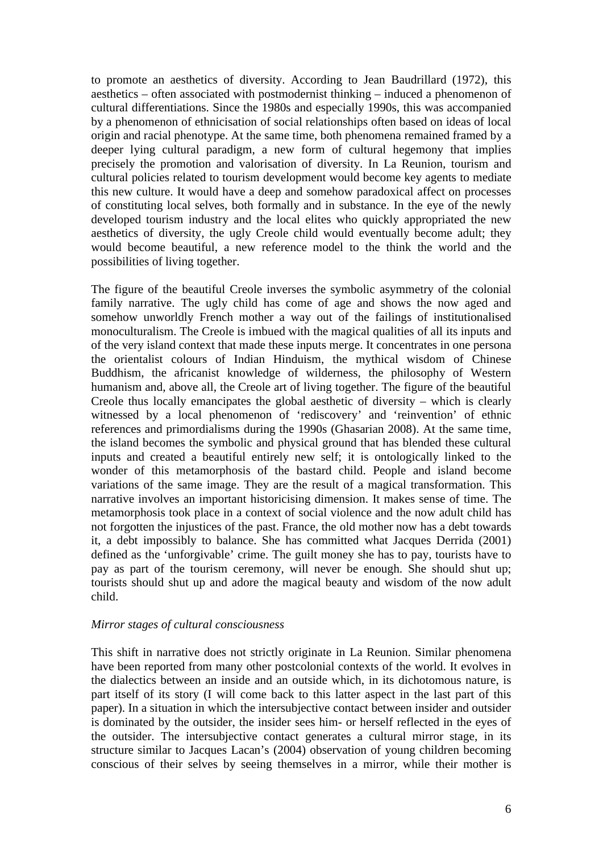to promote an aesthetics of diversity. According to Jean Baudrillard (1972), this aesthetics – often associated with postmodernist thinking – induced a phenomenon of cultural differentiations. Since the 1980s and especially 1990s, this was accompanied by a phenomenon of ethnicisation of social relationships often based on ideas of local origin and racial phenotype. At the same time, both phenomena remained framed by a deeper lying cultural paradigm, a new form of cultural hegemony that implies precisely the promotion and valorisation of diversity. In La Reunion, tourism and cultural policies related to tourism development would become key agents to mediate this new culture. It would have a deep and somehow paradoxical affect on processes of constituting local selves, both formally and in substance. In the eye of the newly developed tourism industry and the local elites who quickly appropriated the new aesthetics of diversity, the ugly Creole child would eventually become adult; they would become beautiful, a new reference model to the think the world and the possibilities of living together.

The figure of the beautiful Creole inverses the symbolic asymmetry of the colonial family narrative. The ugly child has come of age and shows the now aged and somehow unworldly French mother a way out of the failings of institutionalised monoculturalism. The Creole is imbued with the magical qualities of all its inputs and of the very island context that made these inputs merge. It concentrates in one persona the orientalist colours of Indian Hinduism, the mythical wisdom of Chinese Buddhism, the africanist knowledge of wilderness, the philosophy of Western humanism and, above all, the Creole art of living together. The figure of the beautiful Creole thus locally emancipates the global aesthetic of diversity – which is clearly witnessed by a local phenomenon of 'rediscovery' and 'reinvention' of ethnic references and primordialisms during the 1990s (Ghasarian 2008). At the same time, the island becomes the symbolic and physical ground that has blended these cultural inputs and created a beautiful entirely new self; it is ontologically linked to the wonder of this metamorphosis of the bastard child. People and island become variations of the same image. They are the result of a magical transformation. This narrative involves an important historicising dimension. It makes sense of time. The metamorphosis took place in a context of social violence and the now adult child has not forgotten the injustices of the past. France, the old mother now has a debt towards it, a debt impossibly to balance. She has committed what Jacques Derrida (2001) defined as the 'unforgivable' crime. The guilt money she has to pay, tourists have to pay as part of the tourism ceremony, will never be enough. She should shut up; tourists should shut up and adore the magical beauty and wisdom of the now adult child.

# *Mirror stages of cultural consciousness*

This shift in narrative does not strictly originate in La Reunion. Similar phenomena have been reported from many other postcolonial contexts of the world. It evolves in the dialectics between an inside and an outside which, in its dichotomous nature, is part itself of its story (I will come back to this latter aspect in the last part of this paper). In a situation in which the intersubjective contact between insider and outsider is dominated by the outsider, the insider sees him- or herself reflected in the eyes of the outsider. The intersubjective contact generates a cultural mirror stage, in its structure similar to Jacques Lacan's (2004) observation of young children becoming conscious of their selves by seeing themselves in a mirror, while their mother is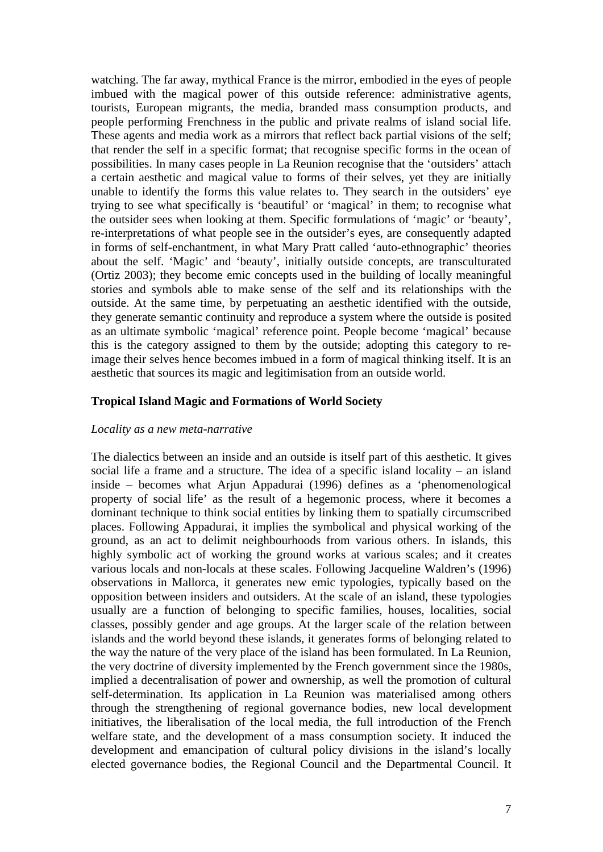watching. The far away, mythical France is the mirror, embodied in the eyes of people imbued with the magical power of this outside reference: administrative agents, tourists, European migrants, the media, branded mass consumption products, and people performing Frenchness in the public and private realms of island social life. These agents and media work as a mirrors that reflect back partial visions of the self; that render the self in a specific format; that recognise specific forms in the ocean of possibilities. In many cases people in La Reunion recognise that the 'outsiders' attach a certain aesthetic and magical value to forms of their selves, yet they are initially unable to identify the forms this value relates to. They search in the outsiders' eye trying to see what specifically is 'beautiful' or 'magical' in them; to recognise what the outsider sees when looking at them. Specific formulations of 'magic' or 'beauty', re-interpretations of what people see in the outsider's eyes, are consequently adapted in forms of self-enchantment, in what Mary Pratt called 'auto-ethnographic' theories about the self. 'Magic' and 'beauty', initially outside concepts, are transculturated (Ortiz 2003); they become emic concepts used in the building of locally meaningful stories and symbols able to make sense of the self and its relationships with the outside. At the same time, by perpetuating an aesthetic identified with the outside, they generate semantic continuity and reproduce a system where the outside is posited as an ultimate symbolic 'magical' reference point. People become 'magical' because this is the category assigned to them by the outside; adopting this category to reimage their selves hence becomes imbued in a form of magical thinking itself. It is an aesthetic that sources its magic and legitimisation from an outside world.

#### **Tropical Island Magic and Formations of World Society**

#### *Locality as a new meta-narrative*

The dialectics between an inside and an outside is itself part of this aesthetic. It gives social life a frame and a structure. The idea of a specific island locality – an island inside – becomes what Arjun Appadurai (1996) defines as a 'phenomenological property of social life' as the result of a hegemonic process, where it becomes a dominant technique to think social entities by linking them to spatially circumscribed places. Following Appadurai, it implies the symbolical and physical working of the ground, as an act to delimit neighbourhoods from various others. In islands, this highly symbolic act of working the ground works at various scales; and it creates various locals and non-locals at these scales. Following Jacqueline Waldren's (1996) observations in Mallorca, it generates new emic typologies, typically based on the opposition between insiders and outsiders. At the scale of an island, these typologies usually are a function of belonging to specific families, houses, localities, social classes, possibly gender and age groups. At the larger scale of the relation between islands and the world beyond these islands, it generates forms of belonging related to the way the nature of the very place of the island has been formulated. In La Reunion, the very doctrine of diversity implemented by the French government since the 1980s, implied a decentralisation of power and ownership, as well the promotion of cultural self-determination. Its application in La Reunion was materialised among others through the strengthening of regional governance bodies, new local development initiatives, the liberalisation of the local media, the full introduction of the French welfare state, and the development of a mass consumption society. It induced the development and emancipation of cultural policy divisions in the island's locally elected governance bodies, the Regional Council and the Departmental Council. It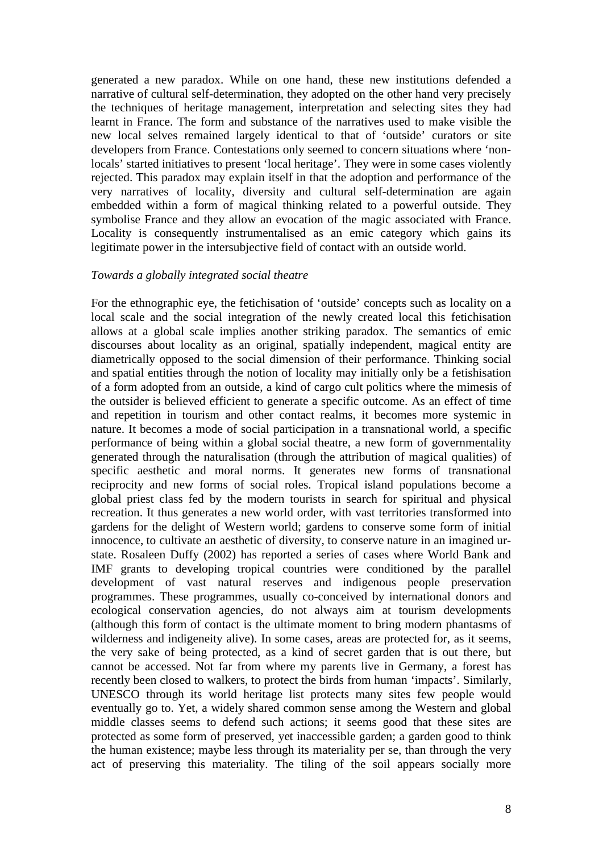generated a new paradox. While on one hand, these new institutions defended a narrative of cultural self-determination, they adopted on the other hand very precisely the techniques of heritage management, interpretation and selecting sites they had learnt in France. The form and substance of the narratives used to make visible the new local selves remained largely identical to that of 'outside' curators or site developers from France. Contestations only seemed to concern situations where 'nonlocals' started initiatives to present 'local heritage'. They were in some cases violently rejected. This paradox may explain itself in that the adoption and performance of the very narratives of locality, diversity and cultural self-determination are again embedded within a form of magical thinking related to a powerful outside. They symbolise France and they allow an evocation of the magic associated with France. Locality is consequently instrumentalised as an emic category which gains its legitimate power in the intersubjective field of contact with an outside world.

#### *Towards a globally integrated social theatre*

For the ethnographic eye, the fetichisation of 'outside' concepts such as locality on a local scale and the social integration of the newly created local this fetichisation allows at a global scale implies another striking paradox. The semantics of emic discourses about locality as an original, spatially independent, magical entity are diametrically opposed to the social dimension of their performance. Thinking social and spatial entities through the notion of locality may initially only be a fetishisation of a form adopted from an outside, a kind of cargo cult politics where the mimesis of the outsider is believed efficient to generate a specific outcome. As an effect of time and repetition in tourism and other contact realms, it becomes more systemic in nature. It becomes a mode of social participation in a transnational world, a specific performance of being within a global social theatre, a new form of governmentality generated through the naturalisation (through the attribution of magical qualities) of specific aesthetic and moral norms. It generates new forms of transnational reciprocity and new forms of social roles. Tropical island populations become a global priest class fed by the modern tourists in search for spiritual and physical recreation. It thus generates a new world order, with vast territories transformed into gardens for the delight of Western world; gardens to conserve some form of initial innocence, to cultivate an aesthetic of diversity, to conserve nature in an imagined urstate. Rosaleen Duffy (2002) has reported a series of cases where World Bank and IMF grants to developing tropical countries were conditioned by the parallel development of vast natural reserves and indigenous people preservation programmes. These programmes, usually co-conceived by international donors and ecological conservation agencies, do not always aim at tourism developments (although this form of contact is the ultimate moment to bring modern phantasms of wilderness and indigeneity alive). In some cases, areas are protected for, as it seems, the very sake of being protected, as a kind of secret garden that is out there, but cannot be accessed. Not far from where my parents live in Germany, a forest has recently been closed to walkers, to protect the birds from human 'impacts'. Similarly, UNESCO through its world heritage list protects many sites few people would eventually go to. Yet, a widely shared common sense among the Western and global middle classes seems to defend such actions; it seems good that these sites are protected as some form of preserved, yet inaccessible garden; a garden good to think the human existence; maybe less through its materiality per se, than through the very act of preserving this materiality. The tiling of the soil appears socially more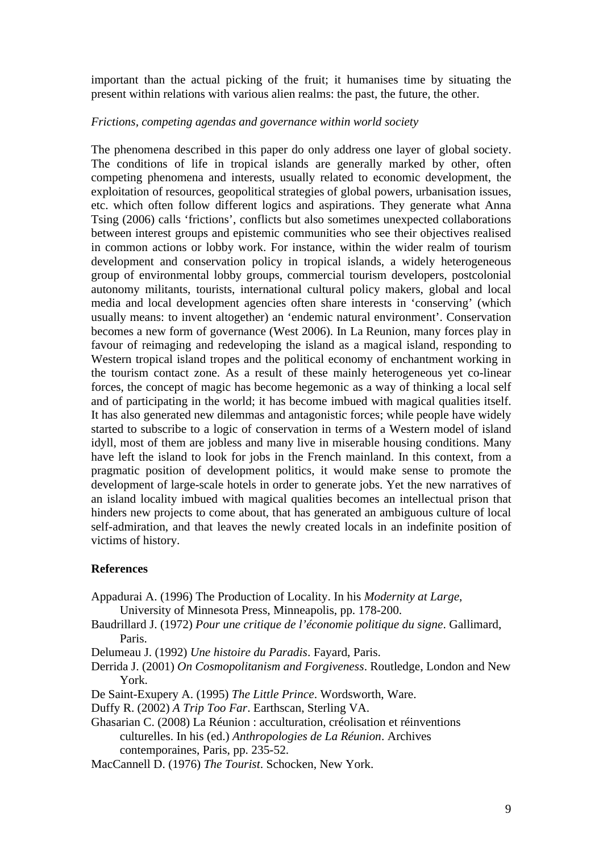important than the actual picking of the fruit; it humanises time by situating the present within relations with various alien realms: the past, the future, the other.

#### *Frictions, competing agendas and governance within world society*

The phenomena described in this paper do only address one layer of global society. The conditions of life in tropical islands are generally marked by other, often competing phenomena and interests, usually related to economic development, the exploitation of resources, geopolitical strategies of global powers, urbanisation issues, etc. which often follow different logics and aspirations. They generate what Anna Tsing (2006) calls 'frictions', conflicts but also sometimes unexpected collaborations between interest groups and epistemic communities who see their objectives realised in common actions or lobby work. For instance, within the wider realm of tourism development and conservation policy in tropical islands, a widely heterogeneous group of environmental lobby groups, commercial tourism developers, postcolonial autonomy militants, tourists, international cultural policy makers, global and local media and local development agencies often share interests in 'conserving' (which usually means: to invent altogether) an 'endemic natural environment'. Conservation becomes a new form of governance (West 2006). In La Reunion, many forces play in favour of reimaging and redeveloping the island as a magical island, responding to Western tropical island tropes and the political economy of enchantment working in the tourism contact zone. As a result of these mainly heterogeneous yet co-linear forces, the concept of magic has become hegemonic as a way of thinking a local self and of participating in the world; it has become imbued with magical qualities itself. It has also generated new dilemmas and antagonistic forces; while people have widely started to subscribe to a logic of conservation in terms of a Western model of island idyll, most of them are jobless and many live in miserable housing conditions. Many have left the island to look for jobs in the French mainland. In this context, from a pragmatic position of development politics, it would make sense to promote the development of large-scale hotels in order to generate jobs. Yet the new narratives of an island locality imbued with magical qualities becomes an intellectual prison that hinders new projects to come about, that has generated an ambiguous culture of local self-admiration, and that leaves the newly created locals in an indefinite position of victims of history.

#### **References**

- Appadurai A. (1996) The Production of Locality. In his *Modernity at Large*, University of Minnesota Press, Minneapolis, pp. 178-200.
- Baudrillard J. (1972) *Pour une critique de l'économie politique du signe*. Gallimard, Paris.
- Delumeau J. (1992) *Une histoire du Paradis*. Fayard, Paris.
- Derrida J. (2001) *On Cosmopolitanism and Forgiveness*. Routledge, London and New York.
- De Saint-Exupery A. (1995) *The Little Prince*. Wordsworth, Ware.
- Duffy R. (2002) *A Trip Too Far*. Earthscan, Sterling VA.
- Ghasarian C. (2008) La Réunion : acculturation, créolisation et réinventions culturelles. In his (ed.) *Anthropologies de La Réunion*. Archives contemporaines, Paris, pp. 235-52.
- MacCannell D. (1976) *The Tourist*. Schocken, New York.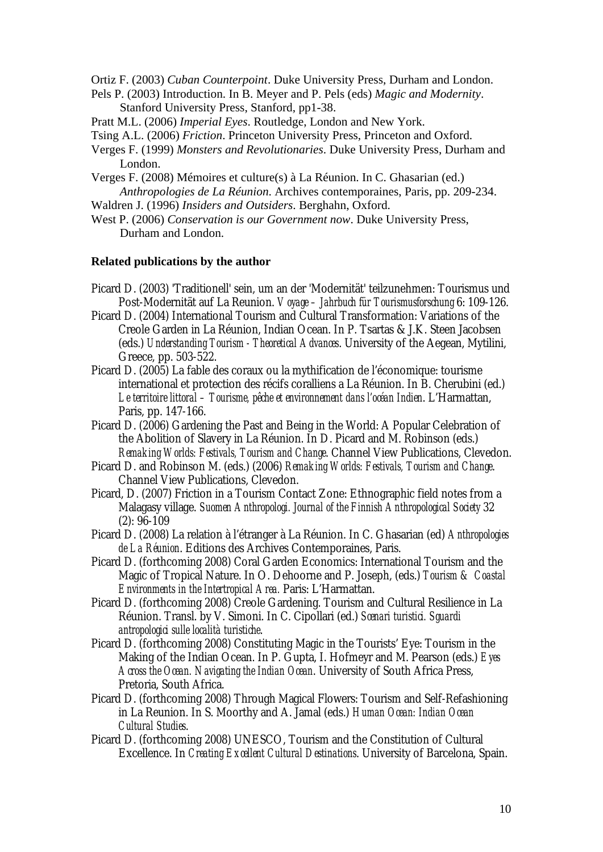Ortiz F. (2003) *Cuban Counterpoint*. Duke University Press, Durham and London.

- Pels P. (2003) Introduction. In B. Meyer and P. Pels (eds) *Magic and Modernity*. Stanford University Press, Stanford, pp1-38.
- Pratt M.L. (2006) *Imperial Eyes*. Routledge, London and New York.
- Tsing A.L. (2006) *Friction*. Princeton University Press, Princeton and Oxford.
- Verges F. (1999) *Monsters and Revolutionaries*. Duke University Press, Durham and London.
- Verges F. (2008) Mémoires et culture(s) à La Réunion. In C. Ghasarian (ed.) *Anthropologies de La Réunion*. Archives contemporaines, Paris, pp. 209-234.
- Waldren J. (1996) *Insiders and Outsiders*. Berghahn, Oxford.
- West P. (2006) *Conservation is our Government now*. Duke University Press, Durham and London.

#### **Related publications by the author**

- Picard D. (2003) 'Traditionell' sein, um an der 'Modernität' teilzunehmen: Tourismus und Post-Modernität auf La Reunion. *Voyage – Jahrbuch für Tourismusforschung* 6: 109-126.
- Picard D. (2004) International Tourism and Cultural Transformation: Variations of the Creole Garden in La Réunion, Indian Ocean. In P. Tsartas & J.K. Steen Jacobsen (eds.) *Understanding Tourism - Theoretical Advances*. University of the Aegean, Mytilini, Greece, pp. 503-522.
- Picard D. (2005) La fable des coraux ou la mythification de l'économique: tourisme international et protection des récifs coralliens a La Réunion. In B. Cherubini (ed.) *Le territoire littoral – Tourisme, pêche et environnement dans l'océan Indien*. L'Harmattan, Paris, pp. 147-166.
- Picard D. (2006) Gardening the Past and Being in the World: A Popular Celebration of the Abolition of Slavery in La Réunion. In D. Picard and M. Robinson (eds.) *Remaking Worlds: Festivals, Tourism and Change*. Channel View Publications, Clevedon.
- Picard D. and Robinson M. (eds.) (2006) *Remaking Worlds: Festivals, Tourism and Change*. Channel View Publications, Clevedon.
- Picard, D. (2007) Friction in a Tourism Contact Zone: Ethnographic field notes from a Malagasy village. *Suomen Anthropologi. Journal of the Finnish Anthropological Society* 32 (2): 96-109
- Picard D. (2008) La relation à l'étranger à La Réunion. In C. Ghasarian (ed) *Anthropologies de La Réunion*. Editions des Archives Contemporaines, Paris.
- Picard D. (forthcoming 2008) Coral Garden Economics: International Tourism and the Magic of Tropical Nature. In O. Dehoorne and P. Joseph, (eds.) *Tourism & Coastal Environments in the Intertropical Area.* Paris: L'Harmattan.
- Picard D. (forthcoming 2008) Creole Gardening. Tourism and Cultural Resilience in La Réunion. Transl. by V. Simoni. In C. Cipollari (ed.) *Scenari turistici. Sguardi antropologici sulle località turistiche*.
- Picard D. (forthcoming 2008) Constituting Magic in the Tourists' Eye: Tourism in the Making of the Indian Ocean. In P. Gupta, I. Hofmeyr and M. Pearson (eds.) *Eyes Across the Ocean. Navigating the Indian Ocean*. University of South Africa Press, Pretoria, South Africa.
- Picard D. (forthcoming 2008) Through Magical Flowers: Tourism and Self-Refashioning in La Reunion. In S. Moorthy and A. Jamal (eds.) *Human Ocean: Indian Ocean Cultural Studies*.
- Picard D. (forthcoming 2008) UNESCO, Tourism and the Constitution of Cultural Excellence. In *Creating Excellent Cultural Destinations*. University of Barcelona, Spain.